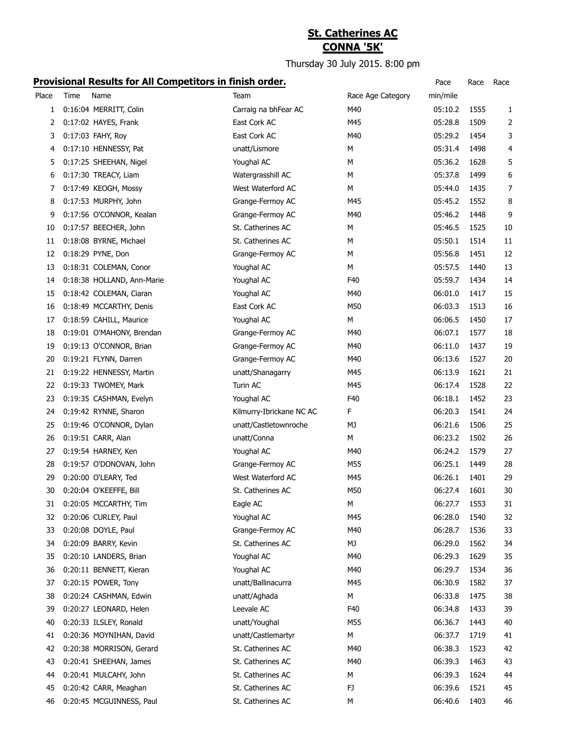## **St. Catherines AC CONNA '5K'**

Thursday 30 July 2015. 8:00 pm

| Place | Time | .<br>Name                  | Team                     | Race Age Category | min/mile |      |                |
|-------|------|----------------------------|--------------------------|-------------------|----------|------|----------------|
| 1     |      | 0:16:04 MERRITT, Colin     | Carraig na bhFear AC     | M40               | 05:10.2  | 1555 | 1              |
| 2     |      | 0:17:02 HAYES, Frank       | East Cork AC             | M45               | 05:28.8  | 1509 | 2              |
| 3     |      | 0:17:03 FAHY, Roy          | East Cork AC             | M40               | 05:29.2  | 1454 | 3              |
| 4     |      | 0:17:10 HENNESSY, Pat      | unatt/Lismore            | М                 | 05:31.4  | 1498 | 4              |
| 5     |      | 0:17:25 SHEEHAN, Nigel     | Youghal AC               | М                 | 05:36.2  | 1628 | 5              |
| 6     |      | 0:17:30 TREACY, Liam       | Watergrasshill AC        | м                 | 05:37.8  | 1499 | 6              |
| 7     |      | 0:17:49 KEOGH, Mossy       | West Waterford AC        | М                 | 05:44.0  | 1435 | $\overline{7}$ |
| 8     |      | 0:17:53 MURPHY, John       | Grange-Fermoy AC         | M45               | 05:45.2  | 1552 | 8              |
| 9     |      | 0:17:56 O'CONNOR, Kealan   | Grange-Fermoy AC         | M40               | 05:46.2  | 1448 | 9              |
| 10    |      | 0:17:57 BEECHER, John      | St. Catherines AC        | М                 | 05:46.5  | 1525 | 10             |
| 11    |      | 0:18:08 BYRNE, Michael     | St. Catherines AC        | M                 | 05:50.1  | 1514 | 11             |
| 12    |      | 0:18:29 PYNE, Don          | Grange-Fermoy AC         | м                 | 05:56.8  | 1451 | 12             |
| 13    |      | 0:18:31 COLEMAN, Conor     | Youghal AC               | М                 | 05:57.5  | 1440 | 13             |
| 14    |      | 0:18:38 HOLLAND, Ann-Marie | Youghal AC               | F40               | 05:59.7  | 1434 | 14             |
| 15    |      | 0:18:42 COLEMAN, Ciaran    | Youghal AC               | M40               | 06:01.0  | 1417 | 15             |
| 16    |      | 0:18:49 MCCARTHY, Denis    | East Cork AC             | M50               | 06:03.3  | 1513 | 16             |
| 17    |      | 0:18:59 CAHILL, Maurice    | Youghal AC               | М                 | 06:06.5  | 1450 | 17             |
| 18    |      | 0:19:01 O'MAHONY, Brendan  | Grange-Fermoy AC         | M40               | 06:07.1  | 1577 | 18             |
| 19    |      | 0:19:13 O'CONNOR, Brian    | Grange-Fermoy AC         | M40               | 06:11.0  | 1437 | 19             |
| 20    |      | 0:19:21 FLYNN, Darren      | Grange-Fermoy AC         | M40               | 06:13.6  | 1527 | 20             |
| 21    |      | 0:19:22 HENNESSY, Martin   | unatt/Shanagarry         | M45               | 06:13.9  | 1621 | 21             |
| 22    |      | 0:19:33 TWOMEY, Mark       | Turin AC                 | M45               | 06:17.4  | 1528 | 22             |
| 23    |      | 0:19:35 CASHMAN, Evelyn    | Youghal AC               | F40               | 06:18.1  | 1452 | 23             |
| 24    |      | 0:19:42 RYNNE, Sharon      | Kilmurry-Ibrickane NC AC | F                 | 06:20.3  | 1541 | 24             |
| 25    |      | 0:19:46 O'CONNOR, Dylan    | unatt/Castletownroche    | MJ                | 06:21.6  | 1506 | 25             |
| 26    |      | 0:19:51 CARR, Alan         | unatt/Conna              | М                 | 06:23.2  | 1502 | 26             |
| 27    |      | 0:19:54 HARNEY, Ken        | Youghal AC               | M40               | 06:24.2  | 1579 | 27             |
| 28    |      | 0:19:57 O'DONOVAN, John    | Grange-Fermoy AC         | M55               | 06:25.1  | 1449 | 28             |
| 29    |      | 0:20:00 O'LEARY, Ted       | West Waterford AC        | M45               | 06:26.1  | 1401 | 29             |
| 30    |      | 0:20:04 O'KEEFFE, Bill     | St. Catherines AC        | M50               | 06:27.4  | 1601 | 30             |
| 31    |      | 0:20:05 MCCARTHY, Tim      | Eagle AC                 | М                 | 06:27.7  | 1553 | 31             |
| 32    |      | 0:20:06 CURLEY, Paul       | Youghal AC               | M45               | 06:28.0  | 1540 | 32             |
| 33    |      | 0:20:08 DOYLE, Paul        | Grange-Fermoy AC         | M40               | 06:28.7  | 1536 | 33             |
| 34    |      | 0:20:09 BARRY, Kevin       | St. Catherines AC        | MJ                | 06:29.0  | 1562 | 34             |
| 35    |      | 0:20:10 LANDERS, Brian     | Youghal AC               | M40               | 06:29.3  | 1629 | 35             |
| 36    |      | 0:20:11 BENNETT, Kieran    | Youghal AC               | M40               | 06:29.7  | 1534 | 36             |
| 37    |      | 0:20:15 POWER, Tony        | unatt/Ballinacurra       | M45               | 06:30.9  | 1582 | 37             |
| 38    |      | 0:20:24 CASHMAN, Edwin     | unatt/Aghada             | М                 | 06:33.8  | 1475 | 38             |
| 39    |      | 0:20:27 LEONARD, Helen     | Leevale AC               | F40               | 06:34.8  | 1433 | 39             |
| 40    |      | 0:20:33 ILSLEY, Ronald     | unatt/Youghal            | M55               | 06:36.7  | 1443 | 40             |
| 41    |      | 0:20:36 MOYNIHAN, David    | unatt/Castlemartyr       | М                 | 06:37.7  | 1719 | 41             |
| 42    |      | 0:20:38 MORRISON, Gerard   | St. Catherines AC        | M40               | 06:38.3  | 1523 | 42             |
| 43    |      | 0:20:41 SHEEHAN, James     | St. Catherines AC        | M40               | 06:39.3  | 1463 | 43             |
| 44    |      | 0:20:41 MULCAHY, John      | St. Catherines AC        | М                 | 06:39.3  | 1624 | 44             |
| 45    |      | 0:20:42 CARR, Meaghan      | St. Catherines AC        | FJ                | 06:39.6  | 1521 | 45             |
| 46    |      | 0:20:45 MCGUINNESS, Paul   | St. Catherines AC        | М                 | 06:40.6  | 1403 | 46             |
|       |      |                            |                          |                   |          |      |                |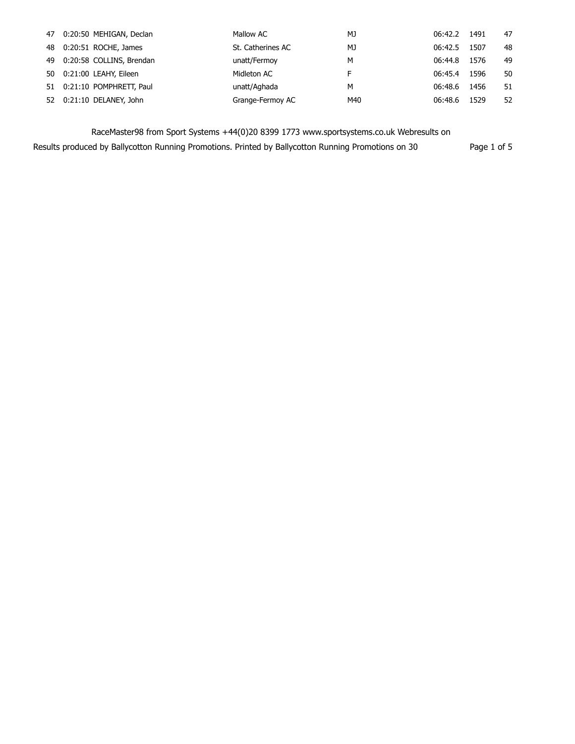| 47 0:20:50 MEHIGAN, Declan  | Mallow AC         | MJ  | 06:42.2 | 1491 | 47 |
|-----------------------------|-------------------|-----|---------|------|----|
|                             |                   |     |         |      |    |
| 48 0:20:51 ROCHE, James     | St. Catherines AC | MJ  | 06:42.5 | 1507 | 48 |
| 49 0:20:58 COLLINS, Brendan | unatt/Fermoy      | м   | 06:44.8 | 1576 | 49 |
| 50 0:21:00 LEAHY, Eileen    | Midleton AC       | F   | 06:45.4 | 1596 | 50 |
| 51 0:21:10 POMPHRETT, Paul  | unatt/Aghada      | м   | 06:48.6 | 1456 | 51 |
| 52 0:21:10 DELANEY, John    | Grange-Fermoy AC  | M40 | 06:48.6 | 1529 | 52 |

Results produced by Ballycotton Running Promotions. Printed by Ballycotton Running Promotions on 30 Page 1 of 5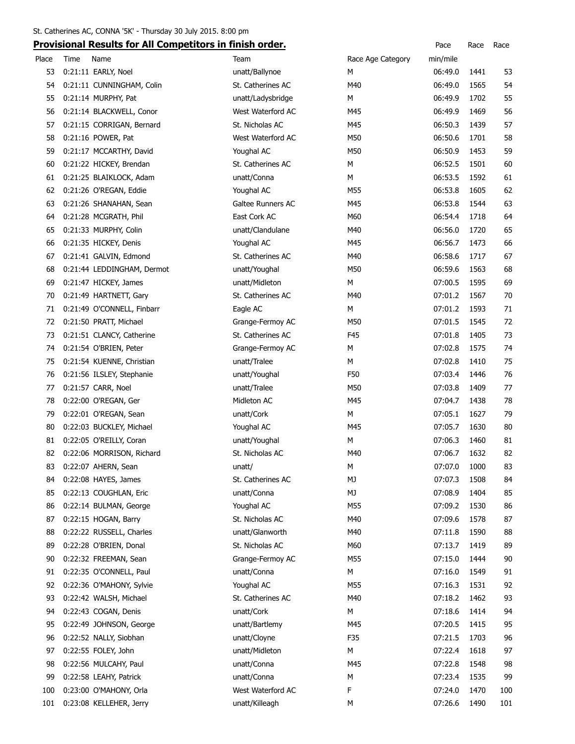|          | <u>Flovisional Results for All competitors in milisii order.</u> |                   |                   | race         | nace | <b>Race</b> |
|----------|------------------------------------------------------------------|-------------------|-------------------|--------------|------|-------------|
| Place    | Time<br>Name                                                     | Team              | Race Age Category | min/mile     |      |             |
| 53       | 0:21:11 EARLY, Noel                                              | unatt/Ballynoe    | M                 | 06:49.0      | 1441 | 53          |
| 54       | 0:21:11 CUNNINGHAM, Colin                                        | St. Catherines AC | M40               | 06:49.0      | 1565 | 54          |
| 55       | 0:21:14 MURPHY, Pat                                              | unatt/Ladysbridge | М                 | 06:49.9      | 1702 | 55          |
| 56       | 0:21:14 BLACKWELL, Conor                                         | West Waterford AC | M45               | 06:49.9      | 1469 | 56          |
| 57       | 0:21:15 CORRIGAN, Bernard                                        | St. Nicholas AC   | M45               | 06:50.3      | 1439 | 57          |
| 58       | 0:21:16 POWER, Pat                                               | West Waterford AC | M50               | 06:50.6      | 1701 | 58          |
| 59       | 0:21:17 MCCARTHY, David                                          | Youghal AC        | M50               | 06:50.9      | 1453 | 59          |
| 60       | 0:21:22 HICKEY, Brendan                                          | St. Catherines AC | м                 | 06:52.5      | 1501 | 60          |
| 61       | 0:21:25 BLAIKLOCK, Adam                                          | unatt/Conna       | M                 | 06:53.5      | 1592 | 61          |
| 62       | 0:21:26 O'REGAN, Eddie                                           | Youghal AC        | M55               | 06:53.8      | 1605 | 62          |
| 63       | 0:21:26 SHANAHAN, Sean                                           | Galtee Runners AC | M45               | 06:53.8      | 1544 | 63          |
| 64       | 0:21:28 MCGRATH, Phil                                            | East Cork AC      | M60               | 06:54.4      | 1718 | 64          |
| 65       | 0:21:33 MURPHY, Colin                                            | unatt/Clandulane  | M40               | 06:56.0      | 1720 | 65          |
| 66       | 0:21:35 HICKEY, Denis                                            | Youghal AC        | M45               | 06:56.7      | 1473 | 66          |
| 67       | 0:21:41 GALVIN, Edmond                                           | St. Catherines AC | M40               | 06:58.6      | 1717 | 67          |
| 68       | 0:21:44 LEDDINGHAM, Dermot                                       | unatt/Youghal     | M50               | 06:59.6      | 1563 | 68          |
| 69       | 0:21:47 HICKEY, James                                            | unatt/Midleton    | м                 | 07:00.5      | 1595 | 69          |
| 70       | 0:21:49 HARTNETT, Gary                                           | St. Catherines AC | M40               | 07:01.2      | 1567 | 70          |
| 71       | 0:21:49 O'CONNELL, Finbarr                                       | Eagle AC          | M                 | 07:01.2      | 1593 | 71          |
| 72       | 0:21:50 PRATT, Michael                                           | Grange-Fermoy AC  | M50               | 07:01.5      | 1545 | 72          |
| 73       | 0:21:51 CLANCY, Catherine                                        | St. Catherines AC | F45               | 07:01.8      | 1405 | 73          |
| 74       | 0:21:54 O'BRIEN, Peter                                           | Grange-Fermoy AC  | M                 | 07:02.8      | 1575 | 74          |
| 75       | 0:21:54 KUENNE, Christian                                        | unatt/Tralee      | м                 | 07:02.8      | 1410 | 75          |
| 76       | 0:21:56 ILSLEY, Stephanie                                        | unatt/Youghal     | F50               | 07:03.4      | 1446 | 76          |
| 77       | 0:21:57 CARR, Noel                                               | unatt/Tralee      | M50               | 07:03.8      | 1409 | 77          |
| 78       | 0:22:00 O'REGAN, Ger                                             | Midleton AC       | M45               | 07:04.7      | 1438 | 78          |
| 79       | 0:22:01 O'REGAN, Sean                                            | unatt/Cork        | M                 | 07:05.1      | 1627 | 79          |
| 80       | 0:22:03 BUCKLEY, Michael                                         | Youghal AC        | M45               | 07:05.7      | 1630 | 80          |
| 81       | 0:22:05 O'REILLY, Coran                                          | unatt/Youghal     | м                 | 07:06.3      | 1460 | 81          |
| 82       | 0:22:06 MORRISON, Richard                                        | St. Nicholas AC   | M40               | 07:06.7      | 1632 | 82          |
| 83       | 0:22:07 AHERN, Sean                                              | unatt/            | М                 | 07:07.0 1000 |      | 83          |
| 84       | 0:22:08 HAYES, James                                             | St. Catherines AC | МJ                | 07:07.3      | 1508 | 84          |
| 85       | 0:22:13 COUGHLAN, Eric                                           | unatt/Conna       | MJ                | 07:08.9      | 1404 | 85          |
| 86       | 0:22:14 BULMAN, George                                           | Youghal AC        | M55               | 07:09.2      | 1530 | 86          |
| 87       | 0:22:15 HOGAN, Barry                                             | St. Nicholas AC   | M40               | 07:09.6      | 1578 | 87          |
| 88       | 0:22:22 RUSSELL, Charles                                         | unatt/Glanworth   | M40               | 07:11.8      | 1590 | 88          |
| 89       | 0:22:28 O'BRIEN, Donal                                           | St. Nicholas AC   | M60               | 07:13.7      | 1419 | 89          |
| 90       | 0:22:32 FREEMAN, Sean                                            | Grange-Fermoy AC  | M55               | 07:15.0      | 1444 | 90          |
| 91       | 0:22:35 O'CONNELL, Paul                                          | unatt/Conna       | М                 | 07:16.0      | 1549 | 91          |
| 92       | 0:22:36 O'MAHONY, Sylvie                                         | Youghal AC        | M55               | 07:16.3      | 1531 | 92          |
| 93       |                                                                  | St. Catherines AC | M40               | 07:18.2      | 1462 | 93          |
| 94       | 0:22:42 WALSH, Michael<br>0:22:43 COGAN, Denis                   | unatt/Cork        | м                 | 07:18.6      | 1414 | 94          |
|          |                                                                  |                   |                   |              |      |             |
| 95       | 0:22:49 JOHNSON, George                                          | unatt/Bartlemy    | M45               | 07:20.5      | 1415 | 95          |
| 96<br>97 | 0:22:52 NALLY, Siobhan                                           | unatt/Cloyne      | F35               | 07:21.5      | 1703 | 96          |
|          | 0:22:55 FOLEY, John                                              | unatt/Midleton    | М                 | 07:22.4      | 1618 | 97          |
| 98       | 0:22:56 MULCAHY, Paul                                            | unatt/Conna       | M45               | 07:22.8      | 1548 | 98          |
| 99       | 0:22:58 LEAHY, Patrick                                           | unatt/Conna       | М                 | 07:23.4      | 1535 | 99          |
| 100      | 0:23:00 O'MAHONY, Orla                                           | West Waterford AC | F                 | 07:24.0      | 1470 | 100         |
| 101      | 0:23:08 KELLEHER, Jerry                                          | unatt/Killeagh    | М                 | 07:26.6      | 1490 | 101         |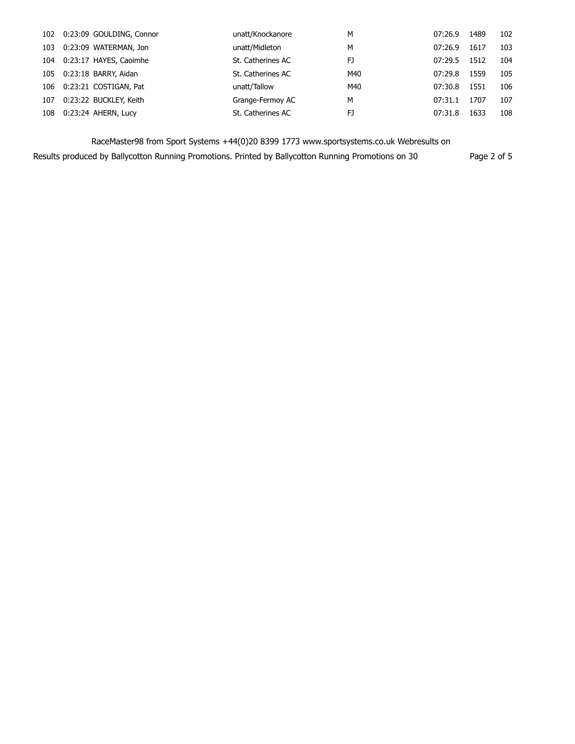| 102 | 0:23:09 GOULDING, Connor | unatt/Knockanore  | м   | 07:26.9 | 1489 | 102 |
|-----|--------------------------|-------------------|-----|---------|------|-----|
| 103 | 0:23:09 WATERMAN, Jon    | unatt/Midleton    | М   | 07:26.9 | 1617 | 103 |
| 104 | 0:23:17 HAYES, Caoimhe   | St. Catherines AC | FJ  | 07:29.5 | 1512 | 104 |
| 105 | 0:23:18 BARRY, Aidan     | St. Catherines AC | M40 | 07:29.8 | 1559 | 105 |
| 106 | 0:23:21 COSTIGAN, Pat    | unatt/Tallow      | M40 | 07:30.8 | 1551 | 106 |
| 107 | 0:23:22 BUCKLEY, Keith   | Grange-Fermoy AC  | м   | 07:31.1 | 1707 | 107 |
| 108 | 0:23:24 AHERN, Lucy      | St. Catherines AC | FJ  | 07:31.8 | 1633 | 108 |

Results produced by Ballycotton Running Promotions. Printed by Ballycotton Running Promotions on 30 Page 2 of 5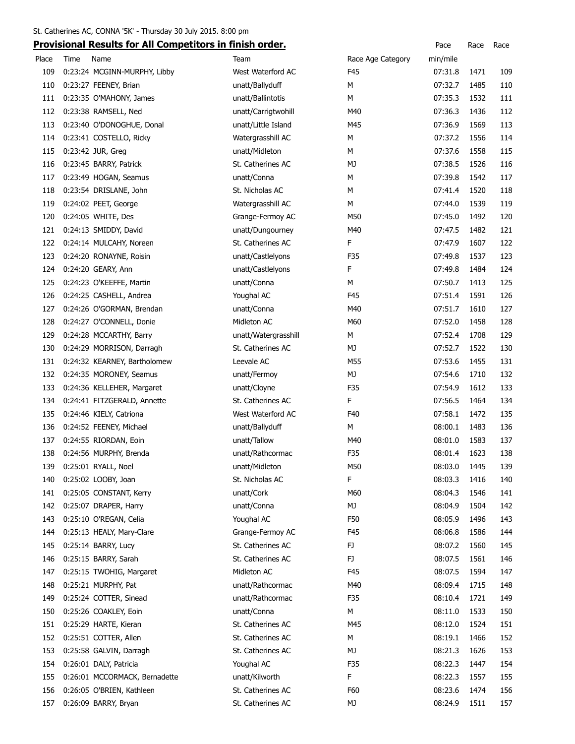|       | <b>TOTIONIAL INCORRECTION AND COMPUTING IN THIS IN ORIGIN</b> |                      |                   |          |      |     |
|-------|---------------------------------------------------------------|----------------------|-------------------|----------|------|-----|
| Place | Time<br>Name                                                  | Team                 | Race Age Category | min/mile |      |     |
| 109   | 0:23:24 MCGINN-MURPHY, Libby                                  | West Waterford AC    | F45               | 07:31.8  | 1471 | 109 |
| 110   | 0:23:27 FEENEY, Brian                                         | unatt/Ballyduff      | М                 | 07:32.7  | 1485 | 110 |
| 111   | 0:23:35 O'MAHONY, James                                       | unatt/Ballintotis    | М                 | 07:35.3  | 1532 | 111 |
| 112   | 0:23:38 RAMSELL, Ned                                          | unatt/Carrigtwohill  | M40               | 07:36.3  | 1436 | 112 |
| 113   | 0:23:40 O'DONOGHUE, Donal                                     | unatt/Little Island  | M45               | 07:36.9  | 1569 | 113 |
| 114   | 0:23:41 COSTELLO, Ricky                                       | Watergrasshill AC    | м                 | 07:37.2  | 1556 | 114 |
| 115   | 0:23:42 JUR, Greg                                             | unatt/Midleton       | м                 | 07:37.6  | 1558 | 115 |
| 116   | 0:23:45 BARRY, Patrick                                        | St. Catherines AC    | MJ                | 07:38.5  | 1526 | 116 |
| 117   | 0:23:49 HOGAN, Seamus                                         | unatt/Conna          | м                 | 07:39.8  | 1542 | 117 |
| 118   | 0:23:54 DRISLANE, John                                        | St. Nicholas AC      | м                 | 07:41.4  | 1520 | 118 |
| 119   | 0:24:02 PEET, George                                          | Watergrasshill AC    | M                 | 07:44.0  | 1539 | 119 |
| 120   | 0:24:05 WHITE, Des                                            | Grange-Fermoy AC     | M50               | 07:45.0  | 1492 | 120 |
| 121   | 0:24:13 SMIDDY, David                                         | unatt/Dungourney     | M40               | 07:47.5  | 1482 | 121 |
| 122   | 0:24:14 MULCAHY, Noreen                                       | St. Catherines AC    | F                 | 07:47.9  | 1607 | 122 |
| 123   | 0:24:20 RONAYNE, Roisin                                       | unatt/Castlelyons    | F35               | 07:49.8  | 1537 | 123 |
| 124   | 0:24:20 GEARY, Ann                                            | unatt/Castlelyons    | F                 | 07:49.8  | 1484 | 124 |
| 125   | 0:24:23 O'KEEFFE, Martin                                      | unatt/Conna          | M                 | 07:50.7  | 1413 | 125 |
| 126   | 0:24:25 CASHELL, Andrea                                       | Youghal AC           | F45               | 07:51.4  | 1591 | 126 |
| 127   | 0:24:26 O'GORMAN, Brendan                                     | unatt/Conna          | M40               | 07:51.7  | 1610 | 127 |
| 128   | 0:24:27 O'CONNELL, Donie                                      | Midleton AC          | M60               | 07:52.0  | 1458 | 128 |
| 129   | 0:24:28 MCCARTHY, Barry                                       | unatt/Watergrasshill | м                 | 07:52.4  | 1708 | 129 |
| 130   | 0:24:29 MORRISON, Darragh                                     | St. Catherines AC    | MJ                | 07:52.7  | 1522 | 130 |
| 131   | 0:24:32 KEARNEY, Bartholomew                                  | Leevale AC           | M55               | 07:53.6  | 1455 | 131 |
| 132   | 0:24:35 MORONEY, Seamus                                       | unatt/Fermoy         | MJ                | 07:54.6  | 1710 | 132 |
| 133   | 0:24:36 KELLEHER, Margaret                                    | unatt/Cloyne         | F35               | 07:54.9  | 1612 | 133 |
| 134   | 0:24:41 FITZGERALD, Annette                                   | St. Catherines AC    | F                 | 07:56.5  | 1464 | 134 |
| 135   | 0:24:46 KIELY, Catriona                                       | West Waterford AC    | F40               | 07:58.1  | 1472 | 135 |
| 136   | 0:24:52 FEENEY, Michael                                       | unatt/Ballyduff      | м                 | 08:00.1  | 1483 | 136 |
| 137   | 0:24:55 RIORDAN, Eoin                                         | unatt/Tallow         | M40               | 08:01.0  | 1583 | 137 |
| 138   | 0:24:56 MURPHY, Brenda                                        | unatt/Rathcormac     | F35               | 08:01.4  | 1623 | 138 |
| 139   | 0:25:01 RYALL, Noel                                           | unatt/Midleton       | M50               | 08:03.0  | 1445 | 139 |
| 140   | 0:25:02 LOOBY, Joan                                           | St. Nicholas AC      | F                 | 08:03.3  | 1416 | 140 |
| 141   | 0:25:05 CONSTANT, Kerry                                       | unatt/Cork           | M60               | 08:04.3  | 1546 | 141 |
| 142   | 0:25:07 DRAPER, Harry                                         | unatt/Conna          | MJ                | 08:04.9  | 1504 | 142 |
| 143   | 0:25:10 O'REGAN, Celia                                        | Youghal AC           | F50               | 08:05.9  | 1496 | 143 |
| 144   | 0:25:13 HEALY, Mary-Clare                                     | Grange-Fermoy AC     | F45               | 08:06.8  | 1586 | 144 |
| 145   | 0:25:14 BARRY, Lucy                                           | St. Catherines AC    | FJ                | 08:07.2  | 1560 | 145 |
| 146   | 0:25:15 BARRY, Sarah                                          | St. Catherines AC    | FJ.               | 08:07.5  | 1561 | 146 |
| 147   | 0:25:15 TWOHIG, Margaret                                      | Midleton AC          | F45               | 08:07.5  | 1594 | 147 |
| 148   | 0:25:21 MURPHY, Pat                                           | unatt/Rathcormac     | M40               | 08:09.4  | 1715 | 148 |
| 149   | 0:25:24 COTTER, Sinead                                        | unatt/Rathcormac     | F35               | 08:10.4  | 1721 | 149 |
| 150   | 0:25:26 COAKLEY, Eoin                                         | unatt/Conna          | М                 | 08:11.0  | 1533 | 150 |
| 151   | 0:25:29 HARTE, Kieran                                         | St. Catherines AC    | M45               | 08:12.0  | 1524 | 151 |
| 152   | 0:25:51 COTTER, Allen                                         | St. Catherines AC    | М                 | 08:19.1  | 1466 | 152 |
| 153   | 0:25:58 GALVIN, Darragh                                       | St. Catherines AC    | МJ                | 08:21.3  | 1626 | 153 |
| 154   | 0:26:01 DALY, Patricia                                        | Youghal AC           | F35               | 08:22.3  | 1447 | 154 |
| 155   | 0:26:01 MCCORMACK, Bernadette                                 | unatt/Kilworth       | F.                | 08:22.3  | 1557 | 155 |
| 156   | 0:26:05 O'BRIEN, Kathleen                                     | St. Catherines AC    | F60               | 08:23.6  | 1474 | 156 |
| 157   | 0:26:09 BARRY, Bryan                                          | St. Catherines AC    | MJ                | 08:24.9  | 1511 | 157 |
|       |                                                               |                      |                   |          |      |     |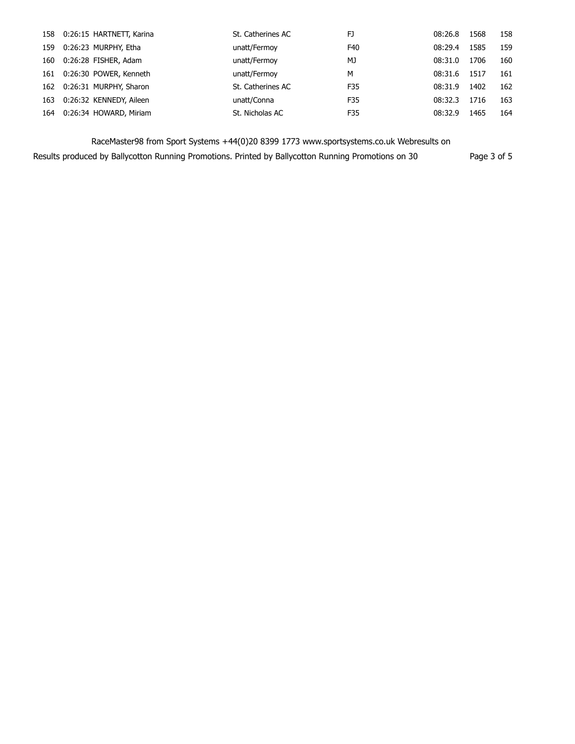| 158 | 0:26:15 HARTNETT, Karina | St. Catherines AC | FJ  | 08:26.8 | 1568 | 158 |
|-----|--------------------------|-------------------|-----|---------|------|-----|
| 159 | 0:26:23 MURPHY, Etha     | unatt/Fermoy      | F40 | 08:29.4 | 1585 | 159 |
| 160 | 0:26:28 FISHER, Adam     | unatt/Fermoy      | MJ  | 08:31.0 | 1706 | 160 |
| 161 | 0:26:30 POWER, Kenneth   | unatt/Fermoy      | м   | 08:31.6 | 1517 | 161 |
| 162 | 0:26:31 MURPHY, Sharon   | St. Catherines AC | F35 | 08:31.9 | 1402 | 162 |
| 163 | 0:26:32 KENNEDY, Aileen  | unatt/Conna       | F35 | 08:32.3 | 1716 | 163 |
| 164 | 0:26:34 HOWARD, Miriam   | St. Nicholas AC   | F35 | 08:32.9 | 1465 | 164 |

Results produced by Ballycotton Running Promotions. Printed by Ballycotton Running Promotions on 30 Page 3 of 5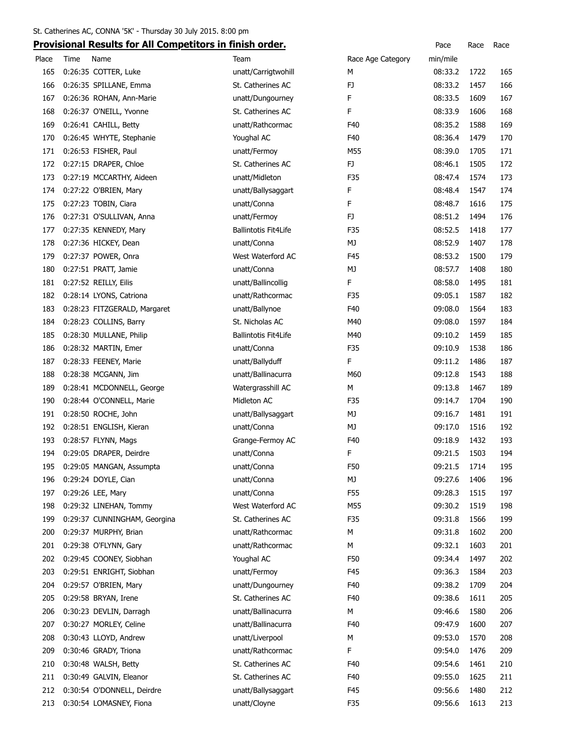|       | <b>TOVISIONAL RESULTS TO AIT COMPETITORS IN THISH ORIGI</b> |                             |                   | racc         | nacc | nace |
|-------|-------------------------------------------------------------|-----------------------------|-------------------|--------------|------|------|
| Place | Time<br>Name                                                | Team                        | Race Age Category | min/mile     |      |      |
| 165   | 0:26:35 COTTER, Luke                                        | unatt/Carrigtwohill         | М                 | 08:33.2      | 1722 | 165  |
| 166   | 0:26:35 SPILLANE, Emma                                      | St. Catherines AC           | FJ                | 08:33.2      | 1457 | 166  |
| 167   | 0:26:36 ROHAN, Ann-Marie                                    | unatt/Dungourney            | F                 | 08:33.5      | 1609 | 167  |
| 168   | 0:26:37 O'NEILL, Yvonne                                     | St. Catherines AC           | F                 | 08:33.9      | 1606 | 168  |
| 169   | 0:26:41 CAHILL, Betty                                       | unatt/Rathcormac            | F40               | 08:35.2      | 1588 | 169  |
| 170   | 0:26:45 WHYTE, Stephanie                                    | Youghal AC                  | F40               | 08:36.4      | 1479 | 170  |
| 171   | 0:26:53 FISHER, Paul                                        | unatt/Fermoy                | M55               | 08:39.0      | 1705 | 171  |
| 172   | 0:27:15 DRAPER, Chloe                                       | St. Catherines AC           | FJ                | 08:46.1      | 1505 | 172  |
| 173   | 0:27:19 MCCARTHY, Aideen                                    | unatt/Midleton              | F35               | 08:47.4      | 1574 | 173  |
| 174   | 0:27:22 O'BRIEN, Mary                                       | unatt/Ballysaggart          | F                 | 08:48.4      | 1547 | 174  |
| 175   | 0:27:23 TOBIN, Ciara                                        | unatt/Conna                 | F                 | 08:48.7      | 1616 | 175  |
| 176   | 0:27:31 O'SULLIVAN, Anna                                    | unatt/Fermoy                | FJ                | 08:51.2      | 1494 | 176  |
| 177   | 0:27:35 KENNEDY, Mary                                       | <b>Ballintotis Fit4Life</b> | F35               | 08:52.5      | 1418 | 177  |
| 178   | 0:27:36 HICKEY, Dean                                        | unatt/Conna                 | MJ                | 08:52.9      | 1407 | 178  |
| 179   | 0:27:37 POWER, Onra                                         | West Waterford AC           | F45               | 08:53.2      | 1500 | 179  |
| 180   | 0:27:51 PRATT, Jamie                                        | unatt/Conna                 | MJ                | 08:57.7      | 1408 | 180  |
| 181   | 0:27:52 REILLY, Eilis                                       | unatt/Ballincollig          | F.                | 08:58.0      | 1495 | 181  |
| 182   | 0:28:14 LYONS, Catriona                                     | unatt/Rathcormac            | F35               | 09:05.1      | 1587 | 182  |
| 183   | 0:28:23 FITZGERALD, Margaret                                | unatt/Ballynoe              | F40               | 09:08.0      | 1564 | 183  |
| 184   | 0:28:23 COLLINS, Barry                                      | St. Nicholas AC             | M40               | 09:08.0      | 1597 | 184  |
| 185   | 0:28:30 MULLANE, Philip                                     | <b>Ballintotis Fit4Life</b> | M40               | 09:10.2      | 1459 | 185  |
| 186   | 0:28:32 MARTIN, Emer                                        | unatt/Conna                 | F35               | 09:10.9      | 1538 | 186  |
| 187   | 0:28:33 FEENEY, Marie                                       | unatt/Ballyduff             | F                 | 09:11.2      | 1486 | 187  |
| 188   | 0:28:38 MCGANN, Jim                                         | unatt/Ballinacurra          | M60               | 09:12.8      | 1543 | 188  |
| 189   | 0:28:41 MCDONNELL, George                                   | Watergrasshill AC           | М                 | 09:13.8      | 1467 | 189  |
| 190   | 0:28:44 O'CONNELL, Marie                                    | Midleton AC                 | F35               | 09:14.7      | 1704 | 190  |
| 191   | 0:28:50 ROCHE, John                                         | unatt/Ballysaggart          | MJ                | 09:16.7      | 1481 | 191  |
| 192   | 0:28:51 ENGLISH, Kieran                                     | unatt/Conna                 | MJ                | 09:17.0      | 1516 | 192  |
| 193   | 0:28:57 FLYNN, Mags                                         | Grange-Fermoy AC            | F40               | 09:18.9      | 1432 | 193  |
| 194   | 0:29:05 DRAPER, Deirdre                                     | unatt/Conna                 | F                 | 09:21.5      | 1503 | 194  |
| 195   | 0:29:05 MANGAN, Assumpta                                    | unatt/Conna                 | F50               | 09:21.5 1714 |      | 195  |
| 196   | 0:29:24 DOYLE, Cian                                         | unatt/Conna                 | МJ                | 09:27.6      | 1406 | 196  |
| 197   | 0:29:26 LEE, Mary                                           | unatt/Conna                 | F55               | 09:28.3      | 1515 | 197  |
| 198   | 0:29:32 LINEHAN, Tommy                                      | West Waterford AC           | M55               | 09:30.2      | 1519 | 198  |
| 199   | 0:29:37 CUNNINGHAM, Georgina                                | St. Catherines AC           | F35               | 09:31.8      | 1566 | 199  |
| 200   | 0:29:37 MURPHY, Brian                                       | unatt/Rathcormac            | М                 | 09:31.8      | 1602 | 200  |
| 201   | 0:29:38 O'FLYNN, Gary                                       | unatt/Rathcormac            | М                 | 09:32.1      | 1603 | 201  |
| 202   | 0:29:45 COONEY, Siobhan                                     | Youghal AC                  | F50               | 09:34.4      | 1497 | 202  |
| 203   | 0:29:51 ENRIGHT, Siobhan                                    | unatt/Fermoy                | F45               | 09:36.3      | 1584 | 203  |
| 204   | 0:29:57 O'BRIEN, Mary                                       | unatt/Dungourney            | F40               | 09:38.2      | 1709 | 204  |
| 205   | 0:29:58 BRYAN, Irene                                        | St. Catherines AC           | F40               | 09:38.6      | 1611 | 205  |
| 206   | 0:30:23 DEVLIN, Darragh                                     | unatt/Ballinacurra          | м                 | 09:46.6      | 1580 | 206  |
| 207   | 0:30:27 MORLEY, Celine                                      | unatt/Ballinacurra          | F40               | 09:47.9      | 1600 | 207  |
| 208   | 0:30:43 LLOYD, Andrew                                       | unatt/Liverpool             | М                 | 09:53.0      | 1570 | 208  |
| 209   | 0:30:46 GRADY, Triona                                       | unatt/Rathcormac            | F                 | 09:54.0      | 1476 | 209  |
| 210   | 0:30:48 WALSH, Betty                                        | St. Catherines AC           | F40               | 09:54.6      | 1461 | 210  |
| 211   | 0:30:49 GALVIN, Eleanor                                     | St. Catherines AC           | F40               | 09:55.0      | 1625 | 211  |
| 212   | 0:30:54 O'DONNELL, Deirdre                                  | unatt/Ballysaggart          | F45               | 09:56.6      | 1480 | 212  |
| 213   | 0:30:54 LOMASNEY, Fiona                                     | unatt/Cloyne                | F35               | 09:56.6      | 1613 | 213  |
|       |                                                             |                             |                   |              |      |      |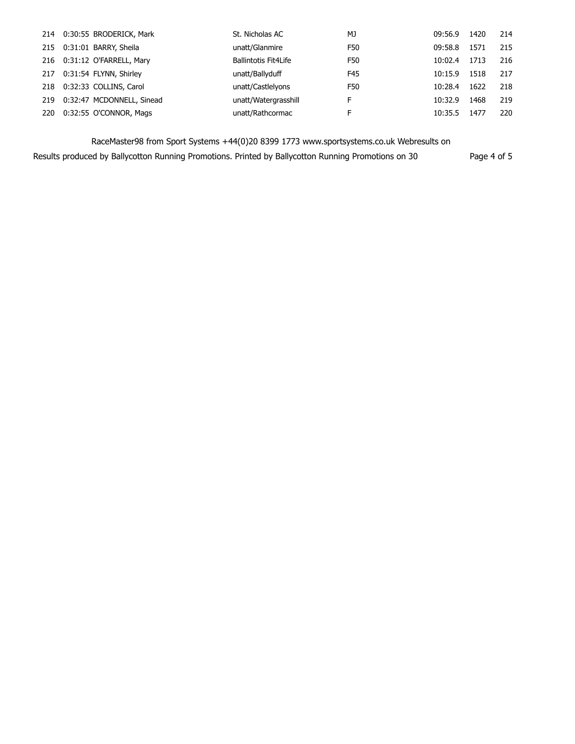| 214 | 0:30:55 BRODERICK, Mark   | St. Nicholas AC             | MJ  | 09:56.9 | 1420 | 214 |
|-----|---------------------------|-----------------------------|-----|---------|------|-----|
| 215 | 0:31:01 BARRY, Sheila     | unatt/Glanmire              | F50 | 09:58.8 | 1571 | 215 |
| 216 | 0:31:12 O'FARRELL, Mary   | <b>Ballintotis Fit4Life</b> | F50 | 10:02.4 | 1713 | 216 |
| 217 | 0:31:54 FLYNN, Shirley    | unatt/Ballyduff             | F45 | 10:15.9 | 1518 | 217 |
| 218 | 0:32:33 COLLINS, Carol    | unatt/Castlelyons           | F50 | 10:28.4 | 1622 | 218 |
| 219 | 0:32:47 MCDONNELL, Sinead | unatt/Watergrasshill        | F   | 10:32.9 | 1468 | 219 |
| 220 | 0:32:55 O'CONNOR, Mags    | unatt/Rathcormac            | F   | 10:35.5 | 1477 | 220 |

Results produced by Ballycotton Running Promotions. Printed by Ballycotton Running Promotions on 30 Page 4 of 5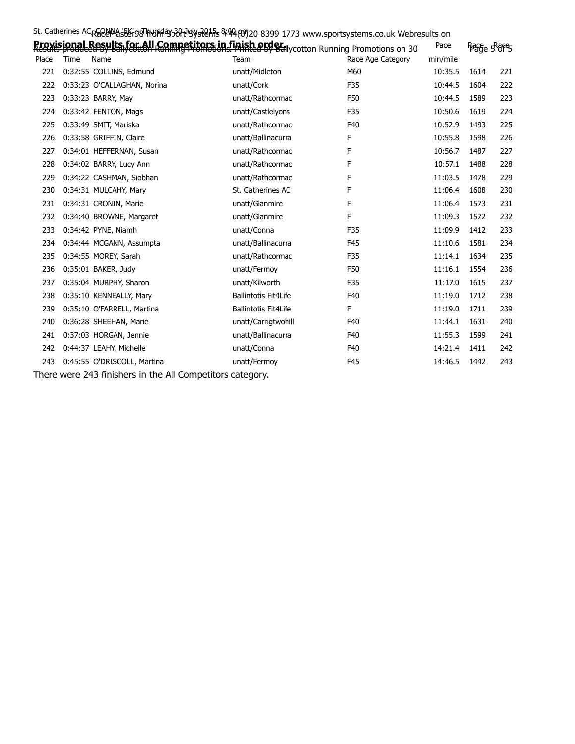|       | St. Catherines AC <sub>R</sub> SPENASEE-98 HUST 30 PUSTED: S494 (0) 20 8399 1773 www.sportsystems.co.uk Webresults on |                             |                   |          |               |     |
|-------|-----------------------------------------------------------------------------------------------------------------------|-----------------------------|-------------------|----------|---------------|-----|
|       | Braxisional Results fat All Competitors in finish arder woman or Promotions on 30                                     |                             |                   | Pace     | ිෂිසි ෙරිරිපි |     |
| Place | Time<br>Name                                                                                                          | <b>Team</b>                 | Race Age Category | min/mile |               |     |
| 221   | 0:32:55 COLLINS, Edmund                                                                                               | unatt/Midleton              | M60               | 10:35.5  | 1614          | 221 |
| 222   | 0:33:23 O'CALLAGHAN, Norina                                                                                           | unatt/Cork                  | F35               | 10:44.5  | 1604          | 222 |
| 223   | 0:33:23 BARRY, May                                                                                                    | unatt/Rathcormac            | F50               | 10:44.5  | 1589          | 223 |
| 224   | 0:33:42 FENTON, Mags                                                                                                  | unatt/Castlelyons           | F35               | 10:50.6  | 1619          | 224 |
| 225   | 0:33:49 SMIT, Mariska                                                                                                 | unatt/Rathcormac            | F40               | 10:52.9  | 1493          | 225 |
| 226   | 0:33:58 GRIFFIN, Claire                                                                                               | unatt/Ballinacurra          | F                 | 10:55.8  | 1598          | 226 |
| 227   | 0:34:01 HEFFERNAN, Susan                                                                                              | unatt/Rathcormac            | F                 | 10:56.7  | 1487          | 227 |
| 228   | 0:34:02 BARRY, Lucy Ann                                                                                               | unatt/Rathcormac            | F                 | 10:57.1  | 1488          | 228 |
| 229   | 0:34:22 CASHMAN, Siobhan                                                                                              | unatt/Rathcormac            | F                 | 11:03.5  | 1478          | 229 |
| 230   | 0:34:31 MULCAHY, Mary                                                                                                 | St. Catherines AC           | F                 | 11:06.4  | 1608          | 230 |
| 231   | 0:34:31 CRONIN, Marie                                                                                                 | unatt/Glanmire              | F                 | 11:06.4  | 1573          | 231 |
| 232   | 0:34:40 BROWNE, Margaret                                                                                              | unatt/Glanmire              | F                 | 11:09.3  | 1572          | 232 |
| 233   | 0:34:42 PYNE, Niamh                                                                                                   | unatt/Conna                 | F35               | 11:09.9  | 1412          | 233 |
| 234   | 0:34:44 MCGANN, Assumpta                                                                                              | unatt/Ballinacurra          | F45               | 11:10.6  | 1581          | 234 |
| 235   | 0:34:55 MOREY, Sarah                                                                                                  | unatt/Rathcormac            | F35               | 11:14.1  | 1634          | 235 |
| 236   | 0:35:01 BAKER, Judy                                                                                                   | unatt/Fermoy                | F50               | 11:16.1  | 1554          | 236 |
| 237   | 0:35:04 MURPHY, Sharon                                                                                                | unatt/Kilworth              | F35               | 11:17.0  | 1615          | 237 |
| 238   | 0:35:10 KENNEALLY, Mary                                                                                               | <b>Ballintotis Fit4Life</b> | F40               | 11:19.0  | 1712          | 238 |
| 239   | 0:35:10 O'FARRELL, Martina                                                                                            | <b>Ballintotis Fit4Life</b> | F.                | 11:19.0  | 1711          | 239 |
| 240   | 0:36:28 SHEEHAN, Marie                                                                                                | unatt/Carrigtwohill         | F40               | 11:44.1  | 1631          | 240 |
| 241   | 0:37:03 HORGAN, Jennie                                                                                                | unatt/Ballinacurra          | F40               | 11:55.3  | 1599          | 241 |
| 242   | 0:44:37 LEAHY, Michelle                                                                                               | unatt/Conna                 | F40               | 14:21.4  | 1411          | 242 |
| 243   | 0:45:55 O'DRISCOLL, Martina                                                                                           | unatt/Fermoy                | F45               | 14:46.5  | 1442          | 243 |
|       |                                                                                                                       |                             |                   |          |               |     |

There were 243 finishers in the All Competitors category.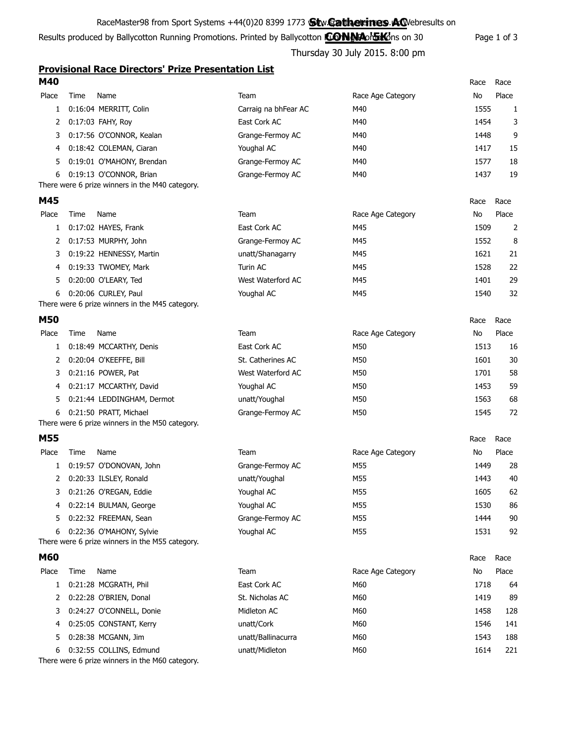#### RaceMaster98 from Sport Systems +44(0)20 8399 1773 **Stw.Gatherines.AQ**/ebresults on

Results produced by Ballycotton Running Promotions. Printed by Ballycotton **CONNA or SKO**ns on 30 Page 1 of 3

### 015. 8:00 pm

|                       |      | Thursday 30 July 2015. 8:00 pm                             |                      |                   |      |              |  |
|-----------------------|------|------------------------------------------------------------|----------------------|-------------------|------|--------------|--|
|                       |      | <b>Provisional Race Directors' Prize Presentation List</b> |                      |                   |      |              |  |
| M40                   |      |                                                            |                      |                   | Race | Race         |  |
| Place                 | Time | Name                                                       | Team                 | Race Age Category | No   | Place        |  |
| $\mathbf{1}$          |      | 0:16:04 MERRITT, Colin                                     | Carraig na bhFear AC | M40               | 1555 | $\mathbf{1}$ |  |
| 2                     |      | 0:17:03 FAHY, Roy                                          | East Cork AC         | M40               | 1454 | 3            |  |
| 3                     |      | 0:17:56 O'CONNOR, Kealan                                   | Grange-Fermoy AC     | M40               | 1448 | 9            |  |
| 4                     |      | 0:18:42 COLEMAN, Ciaran                                    | Youghal AC           | M40               | 1417 | 15           |  |
| 5                     |      | 0:19:01 O'MAHONY, Brendan                                  | Grange-Fermoy AC     | M40               | 1577 | 18           |  |
| 6                     |      | 0:19:13 O'CONNOR, Brian                                    | Grange-Fermoy AC     | M40               | 1437 | 19           |  |
|                       |      | There were 6 prize winners in the M40 category.            |                      |                   |      |              |  |
| M45                   |      |                                                            |                      |                   | Race | Race         |  |
| Place                 | Time | Name                                                       | Team                 | Race Age Category | No   | Place        |  |
| $\mathbf{1}$          |      | 0:17:02 HAYES, Frank                                       | East Cork AC         | M45               | 1509 | 2            |  |
| 2                     |      | 0:17:53 MURPHY, John                                       | Grange-Fermoy AC     | M45               | 1552 | 8            |  |
| 3                     |      | 0:19:22 HENNESSY, Martin                                   | unatt/Shanagarry     | M45               | 1621 | 21           |  |
| 4                     |      | 0:19:33 TWOMEY, Mark                                       | Turin AC             | M45               | 1528 | 22           |  |
| 5.                    |      | 0:20:00 O'LEARY, Ted                                       | West Waterford AC    | M45               | 1401 | 29           |  |
| 6                     |      | 0:20:06 CURLEY, Paul                                       | Youghal AC           | M45               | 1540 | 32           |  |
|                       |      | There were 6 prize winners in the M45 category.            |                      |                   |      |              |  |
| <b>M50</b>            |      |                                                            |                      |                   | Race | Race         |  |
| Place                 | Time | Name                                                       | Team                 | Race Age Category | No   | Place        |  |
|                       |      | 0:18:49 MCCARTHY, Denis                                    | East Cork AC         | M50               | 1513 | 16           |  |
| $\mathbf{2}^{\prime}$ |      | 0:20:04 O'KEEFFE, Bill                                     | St. Catherines AC    | M50               | 1601 | 30           |  |

3 0:21:16 POWER, Pat West Waterford AC 4 0:21:17 MCCARTHY, David Youghal AC 5 0:21:44 LEDDINGHAM, Dermot unatt/Youghal 6 0:21:50 PRATT, Michael Grange-Fermoy AC

|                   | Race | Race  |
|-------------------|------|-------|
| Race Age Category | No   | Place |
| M50               | 1513 | 16    |
| M50               | 1601 | 30    |
| M50               | 1701 | 58    |
| M50               | 1453 | 59    |
| M50               | 1563 | 68    |
| M50               | 1545 | 72    |
|                   |      |       |

| M55   |      |                                                 |                  |                   | Race | Race  |
|-------|------|-------------------------------------------------|------------------|-------------------|------|-------|
| Place | Time | Name                                            | Team             | Race Age Category | No   | Place |
|       |      | 0:19:57 O'DONOVAN, John                         | Grange-Fermoy AC | M55               | 1449 | 28    |
|       |      | 0:20:33 ILSLEY, Ronald                          | unatt/Youghal    | M55               | 1443 | 40    |
|       |      | 3 0:21:26 O'REGAN, Eddie                        | Youghal AC       | M55               | 1605 | 62    |
|       |      | 4 0:22:14 BULMAN, George                        | Youghal AC       | M55               | 1530 | 86    |
|       |      | 5 0:22:32 FREEMAN, Sean                         | Grange-Fermoy AC | M55               | 1444 | 90    |
| 6     |      | 0:22:36 O'MAHONY, Sylvie                        | Youghal AC       | M55               | 1531 | 92    |
|       |      | There were 6 prize winners in the M55 category. |                  |                   |      |       |

| Race |
|------|
|      |

| Place | Time | Name                       | Team               | Race Age Category | No   | Place |
|-------|------|----------------------------|--------------------|-------------------|------|-------|
|       |      | 0:21:28 MCGRATH, Phil      | East Cork AC       | M60               | 1718 | 64    |
|       |      | 0:22:28 O'BRIEN, Donal     | St. Nicholas AC    | M60               | 1419 | 89    |
|       |      | 3 0:24:27 O'CONNELL, Donie | Midleton AC        | M60               | 1458 | 128   |
| 4     |      | 0:25:05 CONSTANT, Kerry    | unatt/Cork         | M60               | 1546 | 141   |
|       |      | 5 0:28:38 MCGANN, Jim      | unatt/Ballinacurra | M60               | 1543 | 188   |
| 6     |      | 0:32:55 COLLINS, Edmund    | unatt/Midleton     | M60               | 1614 | 221   |

There were 6 prize winners in the M60 category.

There were 6 prize winners in the M50 category.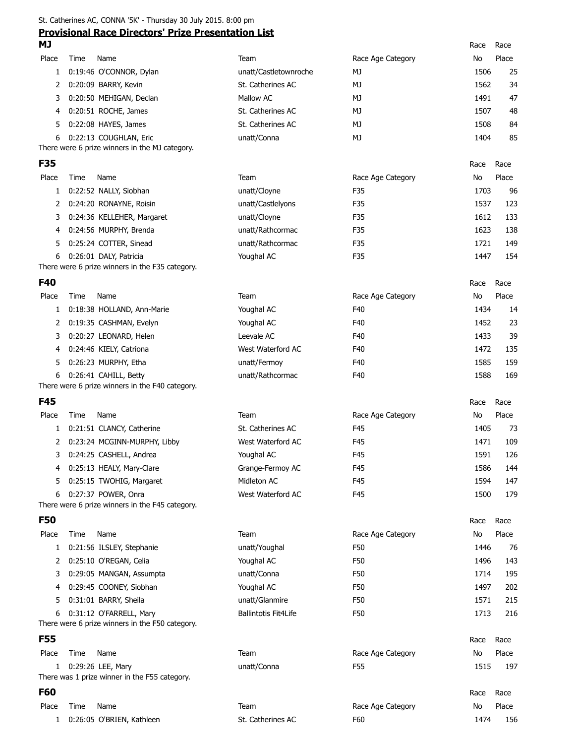St. Catherines AC, CONNA '5K' - Thursday 30 July 2015. 8:00 pm

# **Provisional Race Directors' Prize Presentation List**

| <b>MJ</b>  |      | <u>Provisional Race Directors Prize Presentation List</u>          |                             |                   | Race | Race  |
|------------|------|--------------------------------------------------------------------|-----------------------------|-------------------|------|-------|
| Place      | Time | Name                                                               | Team                        | Race Age Category | No   | Place |
| 1          |      | 0:19:46 O'CONNOR, Dylan                                            | unatt/Castletownroche       | МJ                | 1506 | 25    |
| 2          |      | 0:20:09 BARRY, Kevin                                               | St. Catherines AC           | MJ                | 1562 | 34    |
| 3          |      | 0:20:50 MEHIGAN, Declan                                            | Mallow AC                   | MJ                | 1491 | 47    |
| 4          |      | 0:20:51 ROCHE, James                                               | St. Catherines AC           | МJ                | 1507 | 48    |
| 5          |      | 0:22:08 HAYES, James                                               | St. Catherines AC           | MJ                | 1508 | 84    |
| 6          |      | 0:22:13 COUGHLAN, Eric                                             | unatt/Conna                 | MJ                | 1404 | 85    |
|            |      | There were 6 prize winners in the MJ category.                     |                             |                   |      |       |
| <b>F35</b> |      |                                                                    |                             |                   | Race | Race  |
| Place      | Time | Name                                                               | Team                        | Race Age Category | No   | Place |
| 1          |      | 0:22:52 NALLY, Siobhan                                             | unatt/Cloyne                | F35               | 1703 | 96    |
| 2          |      | 0:24:20 RONAYNE, Roisin                                            | unatt/Castlelyons           | F35               | 1537 | 123   |
| 3          |      | 0:24:36 KELLEHER, Margaret                                         | unatt/Cloyne                | F35               | 1612 | 133   |
| 4          |      | 0:24:56 MURPHY, Brenda                                             | unatt/Rathcormac            | F35               | 1623 | 138   |
| 5          |      | 0:25:24 COTTER, Sinead                                             | unatt/Rathcormac            | F35               | 1721 | 149   |
| 6          |      | 0:26:01 DALY, Patricia                                             | Youghal AC                  | F35               | 1447 | 154   |
|            |      | There were 6 prize winners in the F35 category.                    |                             |                   |      |       |
| F40        |      |                                                                    |                             |                   | Race | Race  |
| Place      | Time | Name                                                               | Team                        | Race Age Category | No   | Place |
| 1          |      | 0:18:38 HOLLAND, Ann-Marie                                         | Youghal AC                  | F40               | 1434 | 14    |
| 2          |      | 0:19:35 CASHMAN, Evelyn                                            | Youghal AC                  | F40               | 1452 | 23    |
| 3          |      | 0:20:27 LEONARD, Helen                                             | Leevale AC                  | F40               | 1433 | 39    |
| 4          |      | 0:24:46 KIELY, Catriona                                            | West Waterford AC           | F40               | 1472 | 135   |
| 5          |      | 0:26:23 MURPHY, Etha                                               | unatt/Fermoy                | F40               | 1585 | 159   |
| 6          |      | 0:26:41 CAHILL, Betty                                              | unatt/Rathcormac            | F40               | 1588 | 169   |
|            |      | There were 6 prize winners in the F40 category.                    |                             |                   |      |       |
| <b>F45</b> |      |                                                                    |                             |                   | Race | Race  |
| Place      | Time | Name                                                               | Team                        | Race Age Category | No   | Place |
| 1          |      | 0:21:51 CLANCY, Catherine                                          | St. Catherines AC           | F45               | 1405 | 73    |
| 2          |      | 0:23:24 MCGINN-MURPHY, Libby                                       | West Waterford AC           | F45               | 1471 | 109   |
|            |      | 3 0:24:25 CASHELL, Andrea                                          | Youghal AC                  | F45               | 1591 | 126   |
| 4          |      | 0:25:13 HEALY, Mary-Clare                                          | Grange-Fermoy AC            | F45               | 1586 | 144   |
| 5          |      | 0:25:15 TWOHIG, Margaret                                           | Midleton AC                 | F45               | 1594 | 147   |
| 6          |      | 0:27:37 POWER, Onra                                                | West Waterford AC           | F45               | 1500 | 179   |
|            |      | There were 6 prize winners in the F45 category.                    |                             |                   |      |       |
| <b>F50</b> |      |                                                                    |                             |                   | Race | Race  |
| Place      | Time | Name                                                               | Team                        | Race Age Category | No   | Place |
| 1          |      | 0:21:56 ILSLEY, Stephanie                                          | unatt/Youghal               | F50               | 1446 | 76    |
| 2          |      | 0:25:10 O'REGAN, Celia                                             | Youghal AC                  | F50               | 1496 | 143   |
| 3          |      | 0:29:05 MANGAN, Assumpta                                           | unatt/Conna                 | F50               | 1714 | 195   |
| 4          |      | 0:29:45 COONEY, Siobhan                                            | Youghal AC                  | F50               | 1497 | 202   |
| 5          |      | 0:31:01 BARRY, Sheila                                              | unatt/Glanmire              | F50               | 1571 | 215   |
| 6          |      | 0:31:12 O'FARRELL, Mary                                            | <b>Ballintotis Fit4Life</b> | F50               | 1713 | 216   |
|            |      | There were 6 prize winners in the F50 category.                    |                             |                   |      |       |
| <b>F55</b> |      |                                                                    |                             |                   | Race | Race  |
| Place      | Time | Name                                                               | Team                        | Race Age Category | No   | Place |
| 1          |      | 0:29:26 LEE, Mary<br>There was 1 prize winner in the F55 category. | unatt/Conna                 | F55               | 1515 | 197   |
|            |      |                                                                    |                             |                   |      |       |

| <b>F60</b> |      |                           |                   |                   | Race | Race  |
|------------|------|---------------------------|-------------------|-------------------|------|-------|
| Place      | Time | Name                      | Team              | Race Age Category | No   | Place |
|            |      | 0:26:05 O'BRIEN, Kathleen | St. Catherines AC | F60               | 1474 | 156   |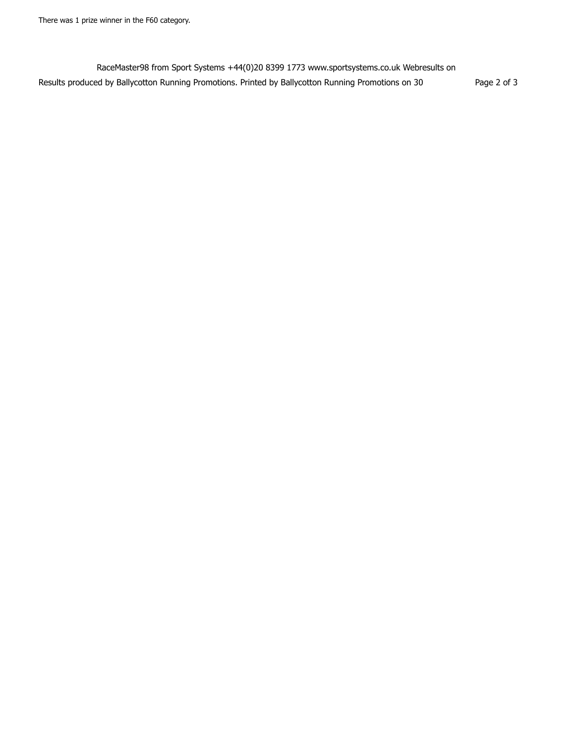RaceMaster98 from Sport Systems +44(0)20 8399 1773 www.sportsystems.co.uk Webresults on Results produced by Ballycotton Running Promotions. Printed by Ballycotton Running Promotions on 30 Page 2 of 3